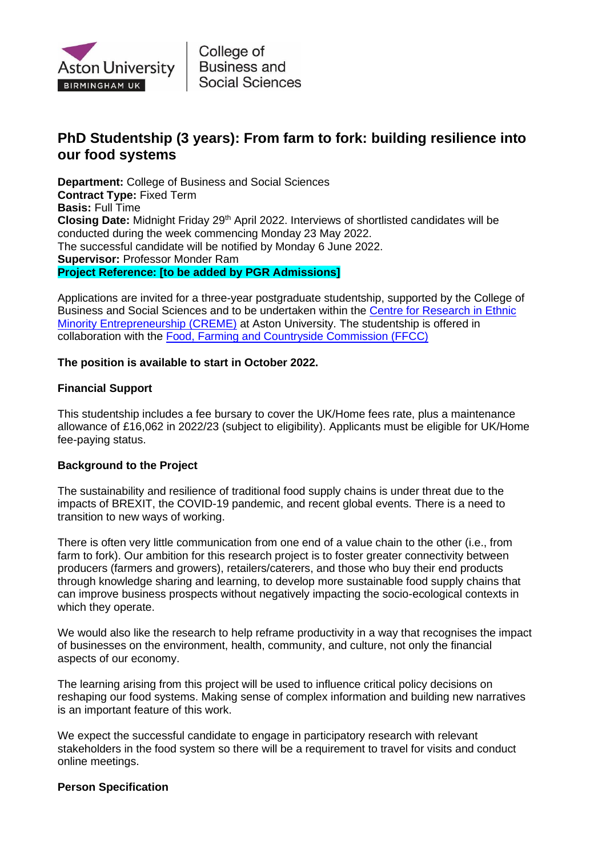

College of **Business and Social Sciences** 

# **PhD Studentship (3 years): From farm to fork: building resilience into our food systems**

**Department:** College of Business and Social Sciences **Contract Type:** Fixed Term **Basis:** Full Time Closing Date: Midnight Friday 29<sup>th</sup> April 2022. Interviews of shortlisted candidates will be conducted during the week commencing Monday 23 May 2022. The successful candidate will be notified by Monday 6 June 2022. **Supervisor:** Professor Monder Ram **Project Reference: [to be added by PGR Admissions]**

Applications are invited for a three-year postgraduate studentship, supported by the College of Business and Social Sciences and to be undertaken within the [Centre for Research in Ethnic](https://research.aston.ac.uk/en/organisations/centre-for-research-in-ethnic-minority-entrepreneurship-creme)  [Minority Entrepreneurship \(CREME\)](https://research.aston.ac.uk/en/organisations/centre-for-research-in-ethnic-minority-entrepreneurship-creme) at Aston University. The studentship is offered in collaboration with the [Food, Farming and Countryside Commission \(FFCC\)](https://ffcc.co.uk/)

# **The position is available to start in October 2022.**

# **Financial Support**

This studentship includes a fee bursary to cover the UK/Home fees rate, plus a maintenance allowance of £16,062 in 2022/23 (subject to eligibility). Applicants must be eligible for UK/Home fee-paying status.

### **Background to the Project**

The sustainability and resilience of traditional food supply chains is under threat due to the impacts of BREXIT, the COVID-19 pandemic, and recent global events. There is a need to transition to new ways of working.

There is often very little communication from one end of a value chain to the other (i.e., from farm to fork). Our ambition for this research project is to foster greater connectivity between producers (farmers and growers), retailers/caterers, and those who buy their end products through knowledge sharing and learning, to develop more sustainable food supply chains that can improve business prospects without negatively impacting the socio-ecological contexts in which they operate.

We would also like the research to help reframe productivity in a way that recognises the impact of businesses on the environment, health, community, and culture, not only the financial aspects of our economy.

The learning arising from this project will be used to influence critical policy decisions on reshaping our food systems. Making sense of complex information and building new narratives is an important feature of this work.

We expect the successful candidate to engage in participatory research with relevant stakeholders in the food system so there will be a requirement to travel for visits and conduct online meetings.

### **Person Specification**